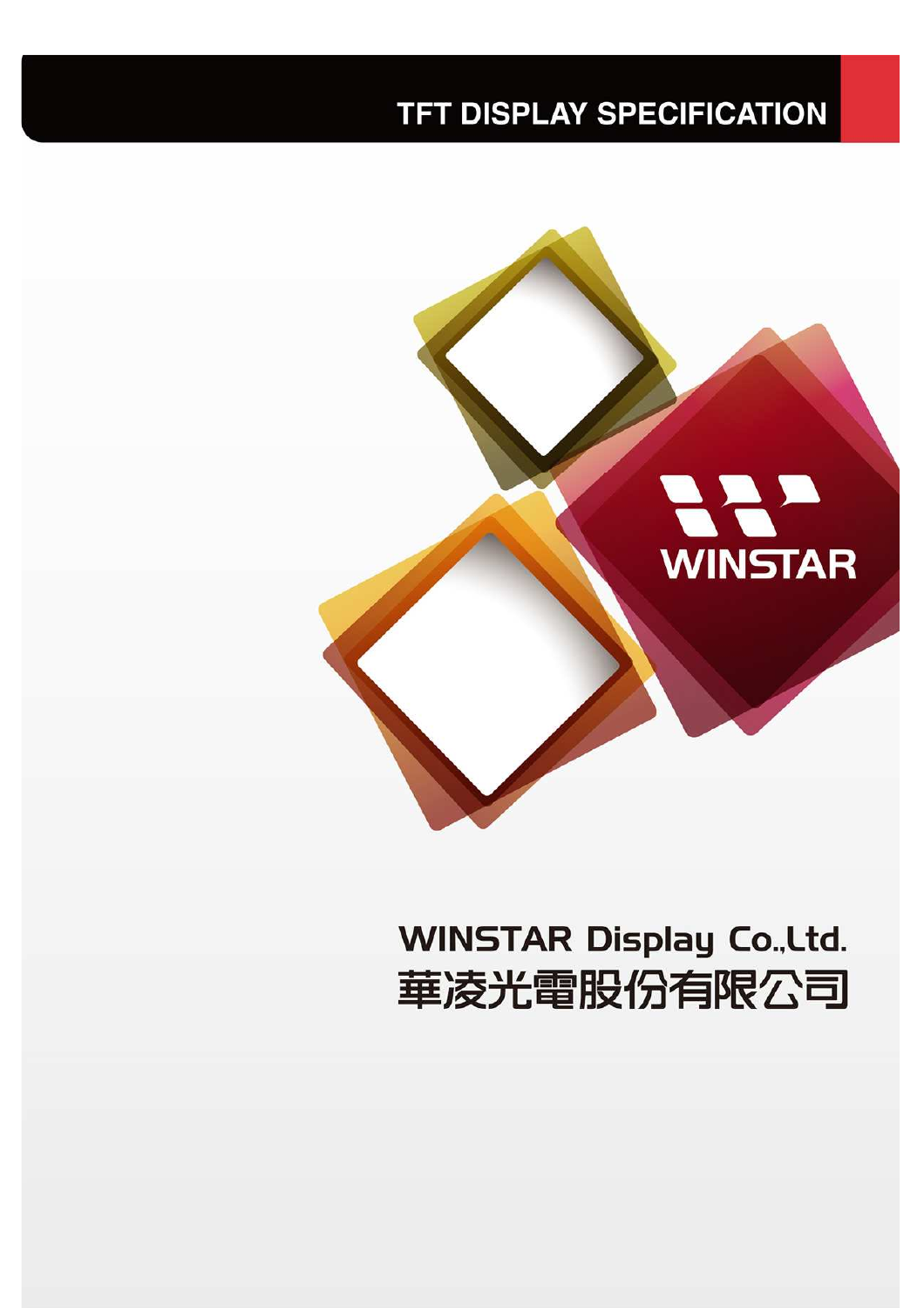#### **TFT DISPLAY SPECIFICATION**



# **WINSTAR Display Co., Ltd.** 華凌光電股份有限公司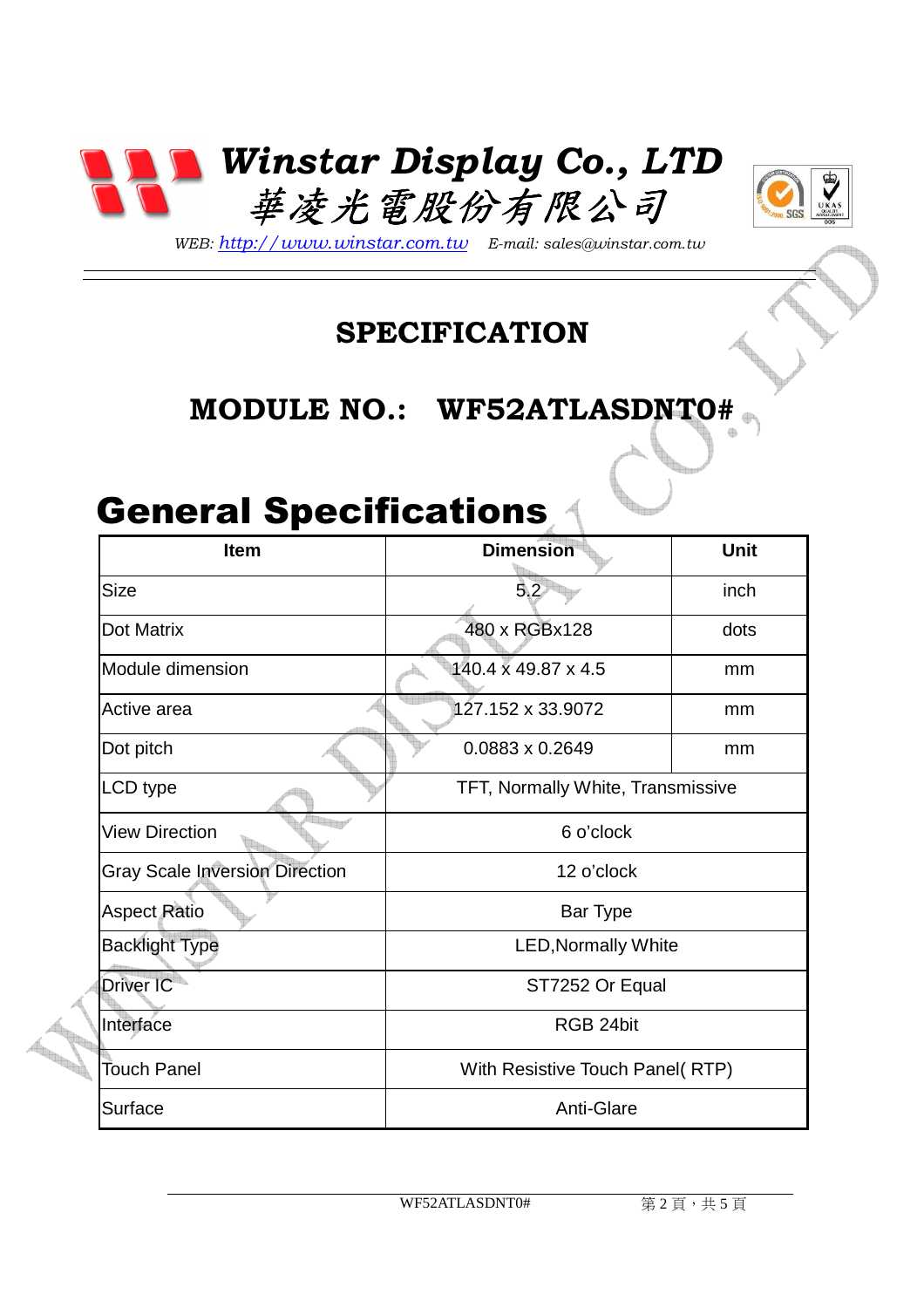



*WEB: http://www.winstar.com.tw E-mail: sales@winstar.com.tw*

#### **SPECIFICATION**

#### **MODULE NO.: WF52ATLASDNT0#**

### General Specifications

| <b>Item</b>                           | <b>Dimension</b>                  | <b>Unit</b> |
|---------------------------------------|-----------------------------------|-------------|
| <b>Size</b>                           | 5.2                               | inch        |
| <b>Dot Matrix</b>                     | 480 x RGBx128                     | dots        |
| Module dimension                      | 140.4 x 49.87 x 4.5               | mm          |
| Active area                           | 127.152 x 33.9072                 | mm          |
| Dot pitch                             | $0.0883 \times 0.2649$            | mm          |
| <b>LCD</b> type                       | TFT, Normally White, Transmissive |             |
| <b>View Direction</b>                 | 6 o'clock                         |             |
| <b>Gray Scale Inversion Direction</b> | 12 o'clock                        |             |
| <b>Aspect Ratio</b>                   | Bar Type                          |             |
| <b>Backlight Type</b>                 | <b>LED, Normally White</b>        |             |
| Driver IC                             | ST7252 Or Equal                   |             |
| Interface                             | RGB 24bit                         |             |
| Touch Panel                           | With Resistive Touch Panel(RTP)   |             |
| Surface                               | Anti-Glare                        |             |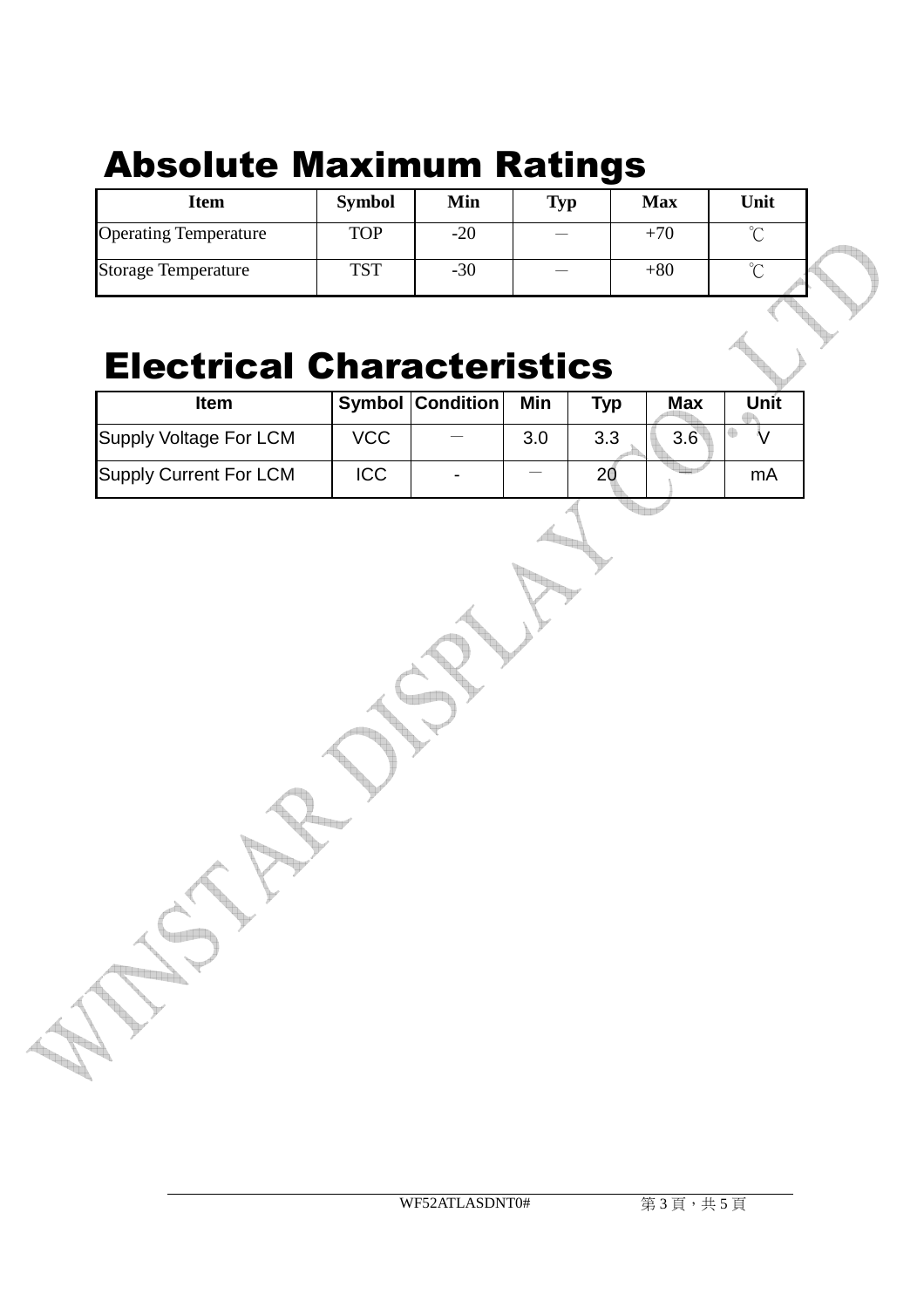## Absolute Maximum Ratings

| <b>Symbol</b> | Min   | <b>Typ</b>               | <b>Max</b> | Unit   |  |
|---------------|-------|--------------------------|------------|--------|--|
| <b>TOP</b>    | $-20$ | $\overline{\phantom{m}}$ | $+70$      | $\sim$ |  |
| <b>TST</b>    | $-30$ | $\overline{\phantom{a}}$ | $+80$      | $\sim$ |  |
|               |       |                          |            |        |  |

#### Electrical Characteristics

| Item                   |            | <b>Symbol Condition</b> | Min | <b>Typ</b> | <b>Max</b>    | Unit |
|------------------------|------------|-------------------------|-----|------------|---------------|------|
| Supply Voltage For LCM | VCC        |                         | 3.0 | 3.3        | $3.6^{\circ}$ |      |
| Supply Current For LCM | <b>ICC</b> | $\blacksquare$          |     |            |               | mА   |

 $\mathbb{L}_{\mathbb{L}}$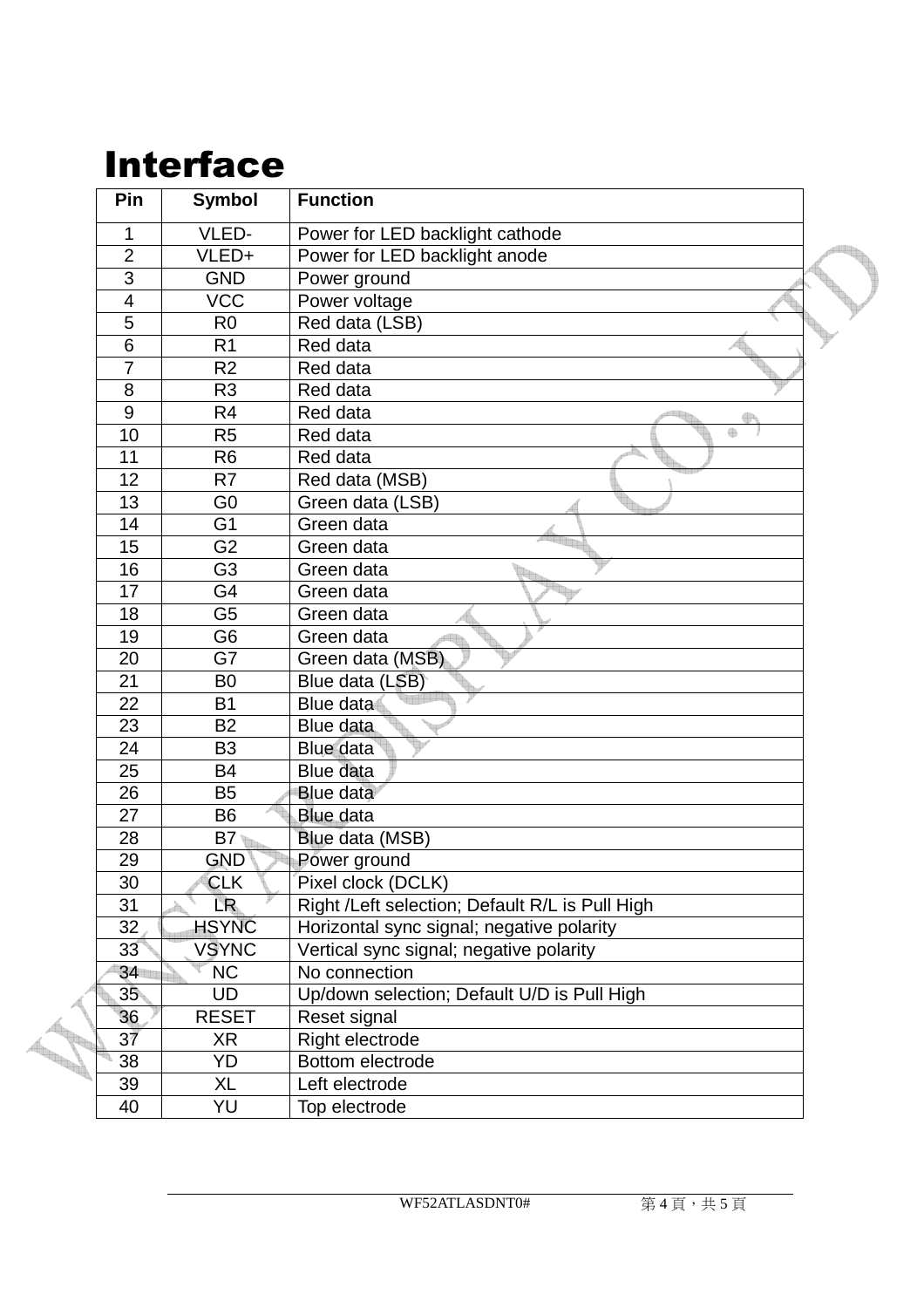### Interface

| Pin                                                                                                                                                                                                                                                                                                                                                                                                                                                                                                                                                                                                                                                                                                                                                                                                                                                                                                                                                                                          | <b>Symbol</b>  | <b>Function</b>                 |
|----------------------------------------------------------------------------------------------------------------------------------------------------------------------------------------------------------------------------------------------------------------------------------------------------------------------------------------------------------------------------------------------------------------------------------------------------------------------------------------------------------------------------------------------------------------------------------------------------------------------------------------------------------------------------------------------------------------------------------------------------------------------------------------------------------------------------------------------------------------------------------------------------------------------------------------------------------------------------------------------|----------------|---------------------------------|
| 1                                                                                                                                                                                                                                                                                                                                                                                                                                                                                                                                                                                                                                                                                                                                                                                                                                                                                                                                                                                            | VLED-          | Power for LED backlight cathode |
| $\overline{2}$                                                                                                                                                                                                                                                                                                                                                                                                                                                                                                                                                                                                                                                                                                                                                                                                                                                                                                                                                                               | VLED+          | Power for LED backlight anode   |
| $\overline{3}$                                                                                                                                                                                                                                                                                                                                                                                                                                                                                                                                                                                                                                                                                                                                                                                                                                                                                                                                                                               | <b>GND</b>     | Power ground                    |
| $\overline{4}$                                                                                                                                                                                                                                                                                                                                                                                                                                                                                                                                                                                                                                                                                                                                                                                                                                                                                                                                                                               | <b>VCC</b>     | Power voltage                   |
| $\overline{5}$                                                                                                                                                                                                                                                                                                                                                                                                                                                                                                                                                                                                                                                                                                                                                                                                                                                                                                                                                                               | R <sub>0</sub> | Red data (LSB)                  |
| 6                                                                                                                                                                                                                                                                                                                                                                                                                                                                                                                                                                                                                                                                                                                                                                                                                                                                                                                                                                                            | R <sub>1</sub> | Red data                        |
| $\overline{7}$                                                                                                                                                                                                                                                                                                                                                                                                                                                                                                                                                                                                                                                                                                                                                                                                                                                                                                                                                                               | R <sub>2</sub> | Red data                        |
| 8                                                                                                                                                                                                                                                                                                                                                                                                                                                                                                                                                                                                                                                                                                                                                                                                                                                                                                                                                                                            | R <sub>3</sub> | Red data                        |
| 9                                                                                                                                                                                                                                                                                                                                                                                                                                                                                                                                                                                                                                                                                                                                                                                                                                                                                                                                                                                            | R <sub>4</sub> | Red data                        |
| 10                                                                                                                                                                                                                                                                                                                                                                                                                                                                                                                                                                                                                                                                                                                                                                                                                                                                                                                                                                                           | R <sub>5</sub> | Red data                        |
| 11                                                                                                                                                                                                                                                                                                                                                                                                                                                                                                                                                                                                                                                                                                                                                                                                                                                                                                                                                                                           | R <sub>6</sub> | Red data                        |
| 12                                                                                                                                                                                                                                                                                                                                                                                                                                                                                                                                                                                                                                                                                                                                                                                                                                                                                                                                                                                           | R7             | Red data (MSB)                  |
| 13                                                                                                                                                                                                                                                                                                                                                                                                                                                                                                                                                                                                                                                                                                                                                                                                                                                                                                                                                                                           | G <sub>0</sub> | Green data (LSB)                |
| 14                                                                                                                                                                                                                                                                                                                                                                                                                                                                                                                                                                                                                                                                                                                                                                                                                                                                                                                                                                                           | G <sub>1</sub> | Green data                      |
|                                                                                                                                                                                                                                                                                                                                                                                                                                                                                                                                                                                                                                                                                                                                                                                                                                                                                                                                                                                              | G <sub>2</sub> | Green data                      |
| 16                                                                                                                                                                                                                                                                                                                                                                                                                                                                                                                                                                                                                                                                                                                                                                                                                                                                                                                                                                                           |                | Green data                      |
|                                                                                                                                                                                                                                                                                                                                                                                                                                                                                                                                                                                                                                                                                                                                                                                                                                                                                                                                                                                              |                | Green data                      |
| 18                                                                                                                                                                                                                                                                                                                                                                                                                                                                                                                                                                                                                                                                                                                                                                                                                                                                                                                                                                                           | G <sub>5</sub> | Green data                      |
|                                                                                                                                                                                                                                                                                                                                                                                                                                                                                                                                                                                                                                                                                                                                                                                                                                                                                                                                                                                              |                |                                 |
|                                                                                                                                                                                                                                                                                                                                                                                                                                                                                                                                                                                                                                                                                                                                                                                                                                                                                                                                                                                              |                |                                 |
|                                                                                                                                                                                                                                                                                                                                                                                                                                                                                                                                                                                                                                                                                                                                                                                                                                                                                                                                                                                              |                |                                 |
|                                                                                                                                                                                                                                                                                                                                                                                                                                                                                                                                                                                                                                                                                                                                                                                                                                                                                                                                                                                              |                |                                 |
|                                                                                                                                                                                                                                                                                                                                                                                                                                                                                                                                                                                                                                                                                                                                                                                                                                                                                                                                                                                              |                |                                 |
|                                                                                                                                                                                                                                                                                                                                                                                                                                                                                                                                                                                                                                                                                                                                                                                                                                                                                                                                                                                              |                |                                 |
|                                                                                                                                                                                                                                                                                                                                                                                                                                                                                                                                                                                                                                                                                                                                                                                                                                                                                                                                                                                              |                |                                 |
|                                                                                                                                                                                                                                                                                                                                                                                                                                                                                                                                                                                                                                                                                                                                                                                                                                                                                                                                                                                              |                |                                 |
|                                                                                                                                                                                                                                                                                                                                                                                                                                                                                                                                                                                                                                                                                                                                                                                                                                                                                                                                                                                              |                |                                 |
|                                                                                                                                                                                                                                                                                                                                                                                                                                                                                                                                                                                                                                                                                                                                                                                                                                                                                                                                                                                              |                |                                 |
|                                                                                                                                                                                                                                                                                                                                                                                                                                                                                                                                                                                                                                                                                                                                                                                                                                                                                                                                                                                              |                |                                 |
| 15<br>G <sub>3</sub><br>$\overline{G4}$<br>17<br>19<br>G <sub>6</sub><br>Green data<br>20<br>G7<br>Green data (MSB)<br>Blue data (LSB)<br>21<br>B <sub>0</sub><br>22<br>Blue data<br><b>B1</b><br>23<br><b>B2</b><br>Blue data<br>24<br>B <sub>3</sub><br>Blue data<br>Blue data<br>25<br><b>B4</b><br>26<br><b>B5</b><br><b>Blue data</b><br>27<br><b>B6</b><br><b>Blue data</b><br>Blue data (MSB)<br>28<br><b>B7</b><br>29<br><b>GND</b><br>Power ground<br>Pixel clock (DCLK)<br>30<br><b>CLK</b><br>LR.<br>31<br>Right /Left selection; Default R/L is Pull High<br><b>HSYNC</b><br>32<br>Horizontal sync signal; negative polarity<br>Vertical sync signal; negative polarity<br>33<br><b>VSYNC</b><br><b>NC</b><br>34<br>No connection<br>35 <sub>°</sub><br><b>UD</b><br>Up/down selection; Default U/D is Pull High<br><b>RESET</b><br>36<br>Reset signal<br>37<br>XR<br>Right electrode<br>YD<br>38<br>Bottom electrode<br>39<br>XL<br>Left electrode<br>40<br>YU<br>Top electrode |                |                                 |
|                                                                                                                                                                                                                                                                                                                                                                                                                                                                                                                                                                                                                                                                                                                                                                                                                                                                                                                                                                                              |                |                                 |
|                                                                                                                                                                                                                                                                                                                                                                                                                                                                                                                                                                                                                                                                                                                                                                                                                                                                                                                                                                                              |                |                                 |
|                                                                                                                                                                                                                                                                                                                                                                                                                                                                                                                                                                                                                                                                                                                                                                                                                                                                                                                                                                                              |                |                                 |
|                                                                                                                                                                                                                                                                                                                                                                                                                                                                                                                                                                                                                                                                                                                                                                                                                                                                                                                                                                                              |                |                                 |
|                                                                                                                                                                                                                                                                                                                                                                                                                                                                                                                                                                                                                                                                                                                                                                                                                                                                                                                                                                                              |                |                                 |
|                                                                                                                                                                                                                                                                                                                                                                                                                                                                                                                                                                                                                                                                                                                                                                                                                                                                                                                                                                                              |                |                                 |
|                                                                                                                                                                                                                                                                                                                                                                                                                                                                                                                                                                                                                                                                                                                                                                                                                                                                                                                                                                                              |                |                                 |
|                                                                                                                                                                                                                                                                                                                                                                                                                                                                                                                                                                                                                                                                                                                                                                                                                                                                                                                                                                                              |                |                                 |
|                                                                                                                                                                                                                                                                                                                                                                                                                                                                                                                                                                                                                                                                                                                                                                                                                                                                                                                                                                                              |                |                                 |
|                                                                                                                                                                                                                                                                                                                                                                                                                                                                                                                                                                                                                                                                                                                                                                                                                                                                                                                                                                                              |                |                                 |
|                                                                                                                                                                                                                                                                                                                                                                                                                                                                                                                                                                                                                                                                                                                                                                                                                                                                                                                                                                                              |                |                                 |